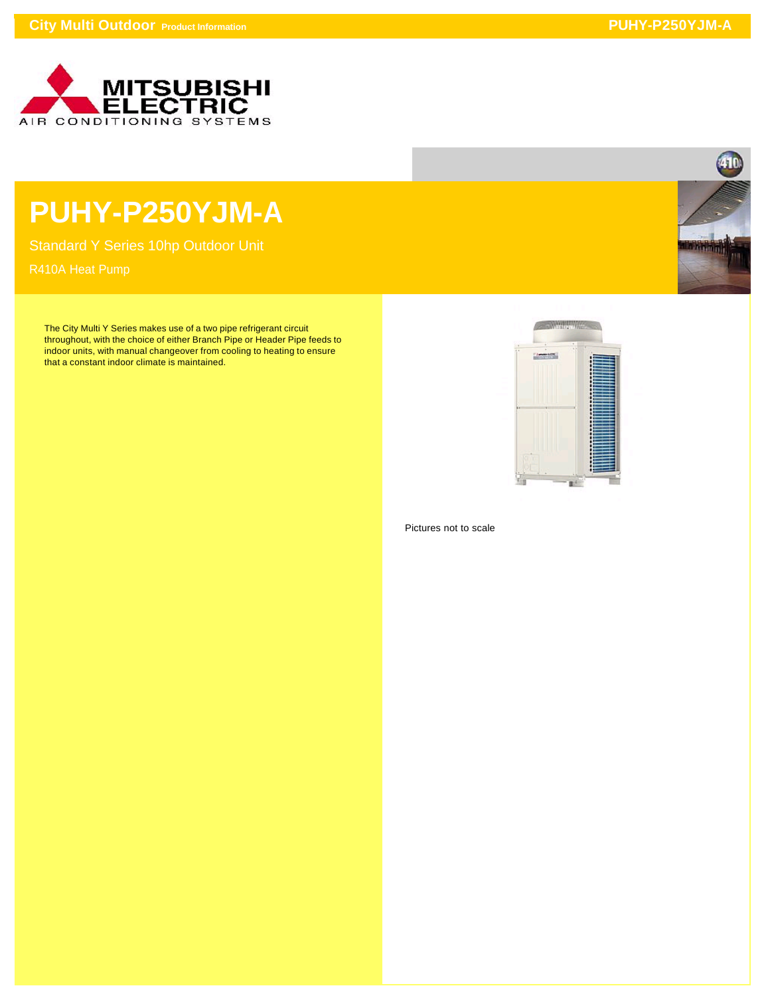

## **PUHY-P250YJM-A**

Standard Y Series 10hp Outdoor Unit

The City Multi Y Series makes use of a two pipe refrigerant circuit throughout, with the choice of either Branch Pipe or Header Pipe feeds to indoor units, with manual changeover from cooling to heating to ensure that a constant indoor climate is maintained.



Pictures not to scale